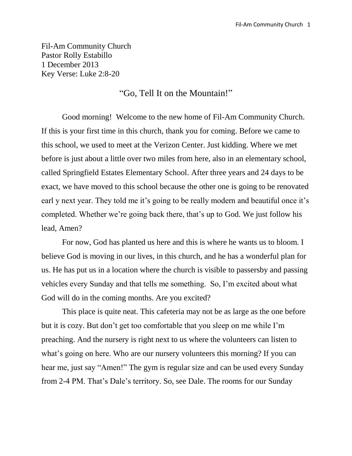Fil-Am Community Church Pastor Rolly Estabillo 1 December 2013 Key Verse: Luke 2:8-20

## "Go, Tell It on the Mountain!"

Good morning! Welcome to the new home of Fil-Am Community Church. If this is your first time in this church, thank you for coming. Before we came to this school, we used to meet at the Verizon Center. Just kidding. Where we met before is just about a little over two miles from here, also in an elementary school, called Springfield Estates Elementary School. After three years and 24 days to be exact, we have moved to this school because the other one is going to be renovated earl y next year. They told me it's going to be really modern and beautiful once it's completed. Whether we're going back there, that's up to God. We just follow his lead, Amen?

For now, God has planted us here and this is where he wants us to bloom. I believe God is moving in our lives, in this church, and he has a wonderful plan for us. He has put us in a location where the church is visible to passersby and passing vehicles every Sunday and that tells me something. So, I'm excited about what God will do in the coming months. Are you excited?

This place is quite neat. This cafeteria may not be as large as the one before but it is cozy. But don't get too comfortable that you sleep on me while I'm preaching. And the nursery is right next to us where the volunteers can listen to what's going on here. Who are our nursery volunteers this morning? If you can hear me, just say "Amen!" The gym is regular size and can be used every Sunday from 2-4 PM. That's Dale's territory. So, see Dale. The rooms for our Sunday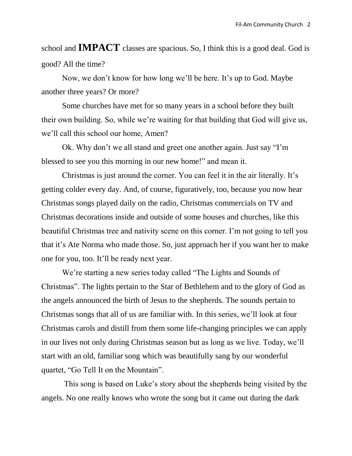school and **IMPACT** classes are spacious. So, I think this is a good deal. God is good? All the time?

Now, we don't know for how long we'll be here. It's up to God. Maybe another three years? Or more?

Some churches have met for so many years in a school before they built their own building. So, while we're waiting for that building that God will give us, we'll call this school our home, Amen?

Ok. Why don't we all stand and greet one another again. Just say "I'm blessed to see you this morning in our new home!" and mean it.

Christmas is just around the corner. You can feel it in the air literally. It's getting colder every day. And, of course, figuratively, too, because you now hear Christmas songs played daily on the radio, Christmas commercials on TV and Christmas decorations inside and outside of some houses and churches, like this beautiful Christmas tree and nativity scene on this corner. I'm not going to tell you that it's Ate Norma who made those. So, just approach her if you want her to make one for you, too. It'll be ready next year.

We're starting a new series today called "The Lights and Sounds of Christmas". The lights pertain to the Star of Bethlehem and to the glory of God as the angels announced the birth of Jesus to the shepherds. The sounds pertain to Christmas songs that all of us are familiar with. In this series, we'll look at four Christmas carols and distill from them some life-changing principles we can apply in our lives not only during Christmas season but as long as we live. Today, we'll start with an old, familiar song which was beautifully sang by our wonderful quartet, "Go Tell It on the Mountain".

This song is based on Luke's story about the shepherds being visited by the angels. No one really knows who wrote the song but it came out during the dark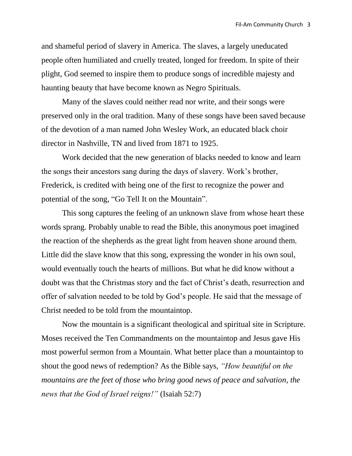and shameful period of slavery in America. The slaves, a largely uneducated people often humiliated and cruelly treated, longed for freedom. In spite of their plight, God seemed to inspire them to produce songs of incredible majesty and haunting beauty that have become known as Negro Spirituals.

Many of the slaves could neither read nor write, and their songs were preserved only in the oral tradition. Many of these songs have been saved because of the devotion of a man named John Wesley Work, an educated black choir director in Nashville, TN and lived from 1871 to 1925.

Work decided that the new generation of blacks needed to know and learn the songs their ancestors sang during the days of slavery. Work's brother, Frederick, is credited with being one of the first to recognize the power and potential of the song, "Go Tell It on the Mountain".

This song captures the feeling of an unknown slave from whose heart these words sprang. Probably unable to read the Bible, this anonymous poet imagined the reaction of the shepherds as the great light from heaven shone around them. Little did the slave know that this song, expressing the wonder in his own soul, would eventually touch the hearts of millions. But what he did know without a doubt was that the Christmas story and the fact of Christ's death, resurrection and offer of salvation needed to be told by God's people. He said that the message of Christ needed to be told from the mountaintop.

Now the mountain is a significant theological and spiritual site in Scripture. Moses received the Ten Commandments on the mountaintop and Jesus gave His most powerful sermon from a Mountain. What better place than a mountaintop to shout the good news of redemption? As the Bible says, *"How beautiful on the mountains are the feet of those who bring good news of peace and salvation, the news that the God of Israel reigns!"* (Isaiah 52:7)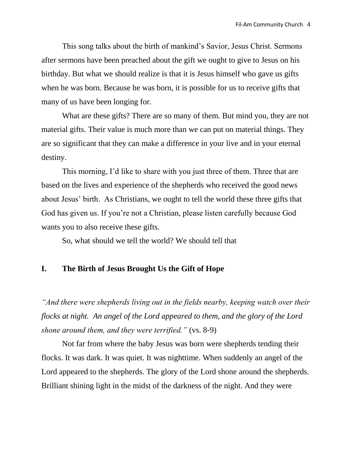This song talks about the birth of mankind's Savior, Jesus Christ. Sermons after sermons have been preached about the gift we ought to give to Jesus on his birthday. But what we should realize is that it is Jesus himself who gave us gifts when he was born. Because he was born, it is possible for us to receive gifts that many of us have been longing for.

What are these gifts? There are so many of them. But mind you, they are not material gifts. Their value is much more than we can put on material things. They are so significant that they can make a difference in your live and in your eternal destiny.

This morning, I'd like to share with you just three of them. Three that are based on the lives and experience of the shepherds who received the good news about Jesus' birth. As Christians, we ought to tell the world these three gifts that God has given us. If you're not a Christian, please listen carefully because God wants you to also receive these gifts.

So, what should we tell the world? We should tell that

## **I. The Birth of Jesus Brought Us the Gift of Hope**

*"And there were shepherds living out in the fields nearby, keeping watch over their flocks at night. An angel of the Lord appeared to them, and the glory of the Lord shone around them, and they were terrified."* (vs. 8-9)

Not far from where the baby Jesus was born were shepherds tending their flocks. It was dark. It was quiet. It was nighttime. When suddenly an angel of the Lord appeared to the shepherds. The glory of the Lord shone around the shepherds. Brilliant shining light in the midst of the darkness of the night. And they were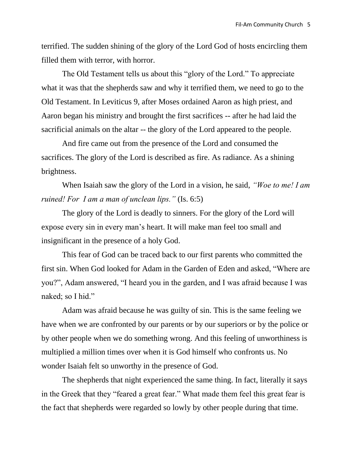terrified. The sudden shining of the glory of the Lord God of hosts encircling them filled them with terror, with horror.

The Old Testament tells us about this "glory of the Lord." To appreciate what it was that the shepherds saw and why it terrified them, we need to go to the Old Testament. In Leviticus 9, after Moses ordained Aaron as high priest, and Aaron began his ministry and brought the first sacrifices -- after he had laid the sacrificial animals on the altar -- the glory of the Lord appeared to the people.

And fire came out from the presence of the Lord and consumed the sacrifices. The glory of the Lord is described as fire. As radiance. As a shining brightness.

When Isaiah saw the glory of the Lord in a vision, he said, *"Woe to me! I am ruined! For I am a man of unclean lips."* (Is. 6:5)

The glory of the Lord is deadly to sinners. For the glory of the Lord will expose every sin in every man's heart. It will make man feel too small and insignificant in the presence of a holy God.

This fear of God can be traced back to our first parents who committed the first sin. When God looked for Adam in the Garden of Eden and asked, "Where are you?", Adam answered, "I heard you in the garden, and I was afraid because I was naked; so I hid."

Adam was afraid because he was guilty of sin. This is the same feeling we have when we are confronted by our parents or by our superiors or by the police or by other people when we do something wrong. And this feeling of unworthiness is multiplied a million times over when it is God himself who confronts us. No wonder Isaiah felt so unworthy in the presence of God.

The shepherds that night experienced the same thing. In fact, literally it says in the Greek that they "feared a great fear." What made them feel this great fear is the fact that shepherds were regarded so lowly by other people during that time.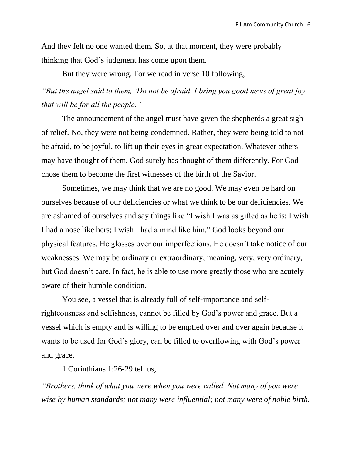And they felt no one wanted them. So, at that moment, they were probably thinking that God's judgment has come upon them.

But they were wrong. For we read in verse 10 following,

*"But the angel said to them, 'Do not be afraid. I bring you good news of great joy that will be for all the people."* 

The announcement of the angel must have given the shepherds a great sigh of relief. No, they were not being condemned. Rather, they were being told to not be afraid, to be joyful, to lift up their eyes in great expectation. Whatever others may have thought of them, God surely has thought of them differently. For God chose them to become the first witnesses of the birth of the Savior.

Sometimes, we may think that we are no good. We may even be hard on ourselves because of our deficiencies or what we think to be our deficiencies. We are ashamed of ourselves and say things like "I wish I was as gifted as he is; I wish I had a nose like hers; I wish I had a mind like him." God looks beyond our physical features. He glosses over our imperfections. He doesn't take notice of our weaknesses. We may be ordinary or extraordinary, meaning, very, very ordinary, but God doesn't care. In fact, he is able to use more greatly those who are acutely aware of their humble condition.

You see, a vessel that is already full of self-importance and selfrighteousness and selfishness, cannot be filled by God's power and grace. But a vessel which is empty and is willing to be emptied over and over again because it wants to be used for God's glory, can be filled to overflowing with God's power and grace.

1 Corinthians 1:26-29 tell us,

*"Brothers, think of what you were when you were called. Not many of you were wise by human standards; not many were influential; not many were of noble birth.*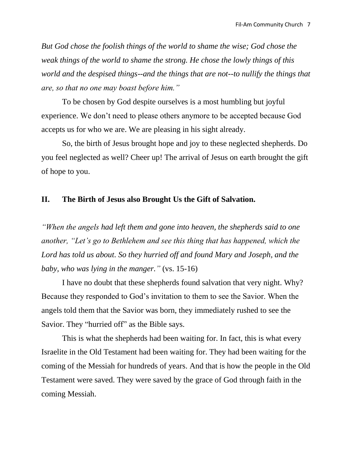*But God chose the foolish things of the world to shame the wise; God chose the weak things of the world to shame the strong. He chose the lowly things of this world and the despised things--and the things that are not--to nullify the things that are, so that no one may boast before him."*

To be chosen by God despite ourselves is a most humbling but joyful experience. We don't need to please others anymore to be accepted because God accepts us for who we are. We are pleasing in his sight already.

So, the birth of Jesus brought hope and joy to these neglected shepherds. Do you feel neglected as well? Cheer up! The arrival of Jesus on earth brought the gift of hope to you.

## **II. The Birth of Jesus also Brought Us the Gift of Salvation.**

*"When the angels had left them and gone into heaven, the shepherds said to one another, "Let's go to Bethlehem and see this thing that has happened, which the Lord has told us about. So they hurried off and found Mary and Joseph, and the baby, who was lying in the manger."* (vs. 15-16)

I have no doubt that these shepherds found salvation that very night. Why? Because they responded to God's invitation to them to see the Savior. When the angels told them that the Savior was born, they immediately rushed to see the Savior. They "hurried off" as the Bible says.

This is what the shepherds had been waiting for. In fact, this is what every Israelite in the Old Testament had been waiting for. They had been waiting for the coming of the Messiah for hundreds of years. And that is how the people in the Old Testament were saved. They were saved by the grace of God through faith in the coming Messiah.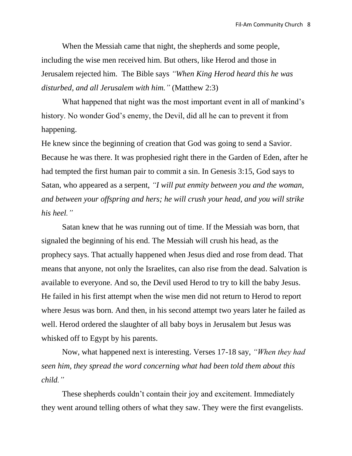When the Messiah came that night, the shepherds and some people, including the wise men received him. But others, like Herod and those in Jerusalem rejected him. The Bible says *"When King Herod heard this he was disturbed, and all Jerusalem with him."* (Matthew 2:3)

What happened that night was the most important event in all of mankind's history. No wonder God's enemy, the Devil, did all he can to prevent it from happening.

He knew since the beginning of creation that God was going to send a Savior. Because he was there. It was prophesied right there in the Garden of Eden, after he had tempted the first human pair to commit a sin. In Genesis 3:15, God says to Satan, who appeared as a serpent, *"I will put enmity between you and the woman, and between your offspring and hers; he will crush your head, and you will strike his heel."*

Satan knew that he was running out of time. If the Messiah was born, that signaled the beginning of his end. The Messiah will crush his head, as the prophecy says. That actually happened when Jesus died and rose from dead. That means that anyone, not only the Israelites, can also rise from the dead. Salvation is available to everyone. And so, the Devil used Herod to try to kill the baby Jesus. He failed in his first attempt when the wise men did not return to Herod to report where Jesus was born. And then, in his second attempt two years later he failed as well. Herod ordered the slaughter of all baby boys in Jerusalem but Jesus was whisked off to Egypt by his parents.

Now, what happened next is interesting. Verses 17-18 say, *"When they had seen him, they spread the word concerning what had been told them about this child."*

These shepherds couldn't contain their joy and excitement. Immediately they went around telling others of what they saw. They were the first evangelists.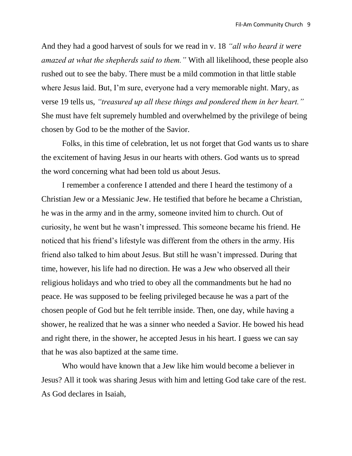And they had a good harvest of souls for we read in v. 18 *"all who heard it were amazed at what the shepherds said to them."* With all likelihood, these people also rushed out to see the baby. There must be a mild commotion in that little stable where Jesus laid. But, I'm sure, everyone had a very memorable night. Mary, as verse 19 tells us, *"treasured up all these things and pondered them in her heart."* She must have felt supremely humbled and overwhelmed by the privilege of being chosen by God to be the mother of the Savior.

Folks, in this time of celebration, let us not forget that God wants us to share the excitement of having Jesus in our hearts with others. God wants us to spread the word concerning what had been told us about Jesus.

I remember a conference I attended and there I heard the testimony of a Christian Jew or a Messianic Jew. He testified that before he became a Christian, he was in the army and in the army, someone invited him to church. Out of curiosity, he went but he wasn't impressed. This someone became his friend. He noticed that his friend's lifestyle was different from the others in the army. His friend also talked to him about Jesus. But still he wasn't impressed. During that time, however, his life had no direction. He was a Jew who observed all their religious holidays and who tried to obey all the commandments but he had no peace. He was supposed to be feeling privileged because he was a part of the chosen people of God but he felt terrible inside. Then, one day, while having a shower, he realized that he was a sinner who needed a Savior. He bowed his head and right there, in the shower, he accepted Jesus in his heart. I guess we can say that he was also baptized at the same time.

Who would have known that a Jew like him would become a believer in Jesus? All it took was sharing Jesus with him and letting God take care of the rest. As God declares in Isaiah,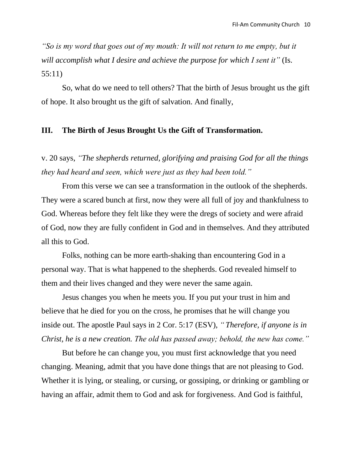*"So is my word that goes out of my mouth: It will not return to me empty, but it will accomplish what I desire and achieve the purpose for which I sent it"* (Is. 55:11)

So, what do we need to tell others? That the birth of Jesus brought us the gift of hope. It also brought us the gift of salvation. And finally,

## **III. The Birth of Jesus Brought Us the Gift of Transformation.**

v. 20 says, *"The shepherds returned, glorifying and praising God for all the things they had heard and seen, which were just as they had been told."* 

From this verse we can see a transformation in the outlook of the shepherds. They were a scared bunch at first, now they were all full of joy and thankfulness to God. Whereas before they felt like they were the dregs of society and were afraid of God, now they are fully confident in God and in themselves. And they attributed all this to God.

Folks, nothing can be more earth-shaking than encountering God in a personal way. That is what happened to the shepherds. God revealed himself to them and their lives changed and they were never the same again.

Jesus changes you when he meets you. If you put your trust in him and believe that he died for you on the cross, he promises that he will change you inside out. The apostle Paul says in 2 Cor. 5:17 (ESV), *" Therefore, if anyone is in Christ, he is a new creation. The old has passed away; behold, the new has come."*

But before he can change you, you must first acknowledge that you need changing. Meaning, admit that you have done things that are not pleasing to God. Whether it is lying, or stealing, or cursing, or gossiping, or drinking or gambling or having an affair, admit them to God and ask for forgiveness. And God is faithful,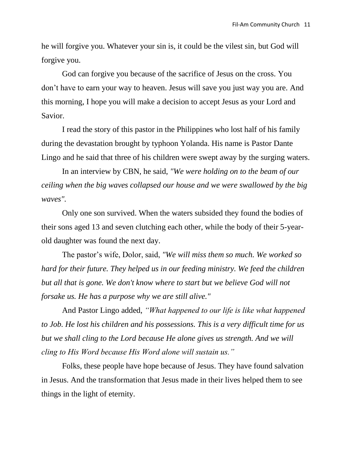he will forgive you. Whatever your sin is, it could be the vilest sin, but God will forgive you.

God can forgive you because of the sacrifice of Jesus on the cross. You don't have to earn your way to heaven. Jesus will save you just way you are. And this morning, I hope you will make a decision to accept Jesus as your Lord and Savior.

I read the story of this pastor in the Philippines who lost half of his family during the devastation brought by typhoon Yolanda. His name is Pastor Dante Lingo and he said that three of his children were swept away by the surging waters.

In an interview by CBN, he said, *"We were holding on to the beam of our ceiling when the big waves collapsed our house and we were swallowed by the big waves".* 

Only one son survived. When the waters subsided they found the bodies of their sons aged 13 and seven clutching each other, while the body of their 5-yearold daughter was found the next day.

The pastor's wife, Dolor, said, *"We will miss them so much. We worked so hard for their future. They helped us in our feeding ministry. We feed the children but all that is gone. We don't know where to start but we believe God will not forsake us. He has a purpose why we are still alive."*

And Pastor Lingo added, *"What happened to our life is like what happened to Job. He lost his children and his possessions. This is a very difficult time for us but we shall cling to the Lord because He alone gives us strength. And we will cling to His Word because His Word alone will sustain us."*

Folks, these people have hope because of Jesus. They have found salvation in Jesus. And the transformation that Jesus made in their lives helped them to see things in the light of eternity.